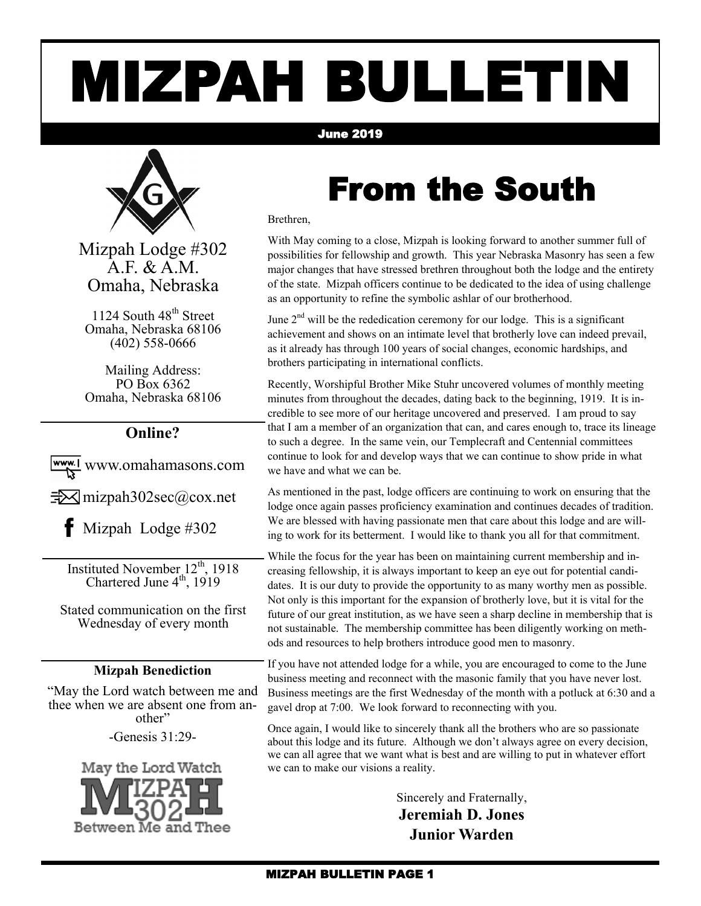# MIZPAH BULLETIN

#### June 2019



Mizpah Lodge #302 A.F. & A.M. Omaha, Nebraska

1124 South 48<sup>th</sup> Street Omaha, Nebraska 68106 (402) 558-0666

Mailing Address: PO Box 6362 Omaha, Nebraska 68106

#### **Online?**

www.omahamasons.com

 $\exists\forall$  mizpah302sec@cox.net

 $\bullet$  Mizpah Lodge #302

Instituted November  $12^{th}$ , 1918 Chartered June  $4^{\text{th}}$ , 1919

Stated communication on the first Wednesday of every month

#### **Mizpah Benediction**

"May the Lord watch between me and thee when we are absent one from another"

-Genesis 31:29-



### From the South

Brethren,

With May coming to a close, Mizpah is looking forward to another summer full of possibilities for fellowship and growth. This year Nebraska Masonry has seen a few major changes that have stressed brethren throughout both the lodge and the entirety of the state. Mizpah officers continue to be dedicated to the idea of using challenge as an opportunity to refine the symbolic ashlar of our brotherhood.

June  $2<sup>nd</sup>$  will be the rededication ceremony for our lodge. This is a significant achievement and shows on an intimate level that brotherly love can indeed prevail, as it already has through 100 years of social changes, economic hardships, and brothers participating in international conflicts.

Recently, Worshipful Brother Mike Stuhr uncovered volumes of monthly meeting minutes from throughout the decades, dating back to the beginning, 1919. It is incredible to see more of our heritage uncovered and preserved. I am proud to say that I am a member of an organization that can, and cares enough to, trace its lineage to such a degree. In the same vein, our Templecraft and Centennial committees continue to look for and develop ways that we can continue to show pride in what we have and what we can be.

As mentioned in the past, lodge officers are continuing to work on ensuring that the lodge once again passes proficiency examination and continues decades of tradition. We are blessed with having passionate men that care about this lodge and are willing to work for its betterment. I would like to thank you all for that commitment.

While the focus for the year has been on maintaining current membership and increasing fellowship, it is always important to keep an eye out for potential candidates. It is our duty to provide the opportunity to as many worthy men as possible. Not only is this important for the expansion of brotherly love, but it is vital for the future of our great institution, as we have seen a sharp decline in membership that is not sustainable. The membership committee has been diligently working on methods and resources to help brothers introduce good men to masonry.

If you have not attended lodge for a while, you are encouraged to come to the June business meeting and reconnect with the masonic family that you have never lost. Business meetings are the first Wednesday of the month with a potluck at 6:30 and a gavel drop at 7:00. We look forward to reconnecting with you.

Once again, I would like to sincerely thank all the brothers who are so passionate about this lodge and its future. Although we don't always agree on every decision, we can all agree that we want what is best and are willing to put in whatever effort we can to make our visions a reality.

> Sincerely and Fraternally, **Jeremiah D. Jones Junior Warden**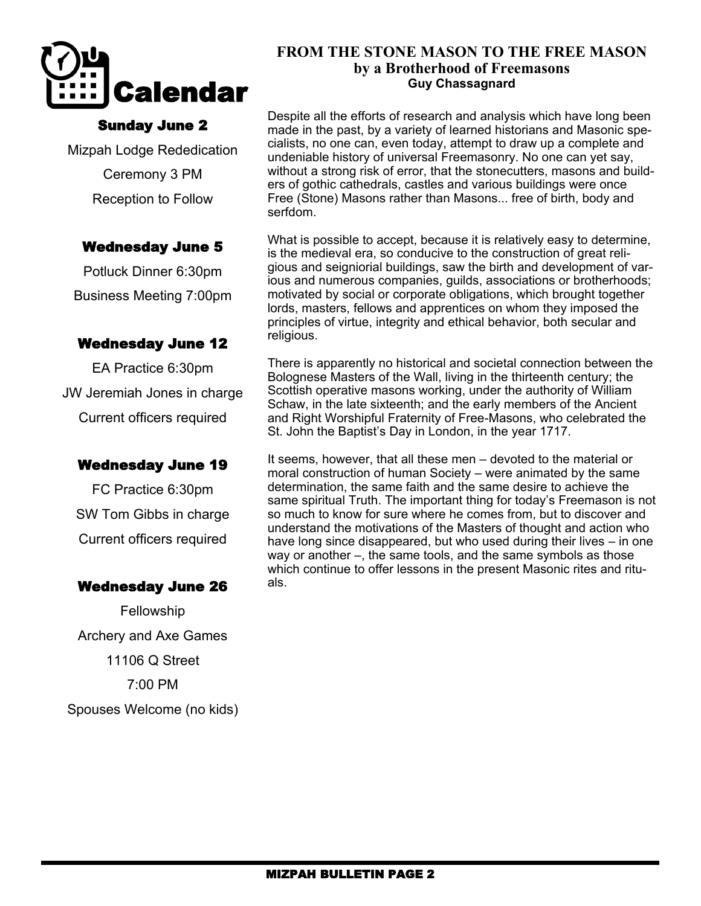

#### Sunday June 2

Mizpah Lodge Rededication Ceremony 3 PM Reception to Follow

#### Wednesday June 5

Potluck Dinner 6:30pm Business Meeting 7:00pm

#### Wednesday June 12

EA Practice 6:30pm JW Jeremiah Jones in charge Current officers required

#### Wednesday June 19

FC Practice 6:30pm SW Tom Gibbs in charge Current officers required

#### Wednesday June 26

Fellowship Archery and Axe Games 11106 Q Street 7:00 PM Spouses Welcome (no kids)

#### **FROM THE STONE MASON TO THE FREE MASON by a Brotherhood of Freemasons Guy Chassagnard**

Despite all the efforts of research and analysis which have long been made in the past, by a variety of learned historians and Masonic specialists, no one can, even today, attempt to draw up a complete and undeniable history of universal Freemasonry. No one can yet say, without a strong risk of error, that the stonecutters, masons and builders of gothic cathedrals, castles and various buildings were once Free (Stone) Masons rather than Masons... free of birth, body and serfdom.

What is possible to accept, because it is relatively easy to determine, is the medieval era, so conducive to the construction of great religious and seigniorial buildings, saw the birth and development of various and numerous companies, guilds, associations or brotherhoods; motivated by social or corporate obligations, which brought together lords, masters, fellows and apprentices on whom they imposed the principles of virtue, integrity and ethical behavior, both secular and religious.

There is apparently no historical and societal connection between the Bolognese Masters of the Wall, living in the thirteenth century; the Scottish operative masons working, under the authority of William Schaw, in the late sixteenth; and the early members of the Ancient and Right Worshipful Fraternity of Free-Masons, who celebrated the St. John the Baptist's Day in London, in the year 1717.

It seems, however, that all these men – devoted to the material or moral construction of human Society – were animated by the same determination, the same faith and the same desire to achieve the same spiritual Truth. The important thing for today's Freemason is not so much to know for sure where he comes from, but to discover and understand the motivations of the Masters of thought and action who have long since disappeared, but who used during their lives – in one way or another –, the same tools, and the same symbols as those which continue to offer lessons in the present Masonic rites and rituals.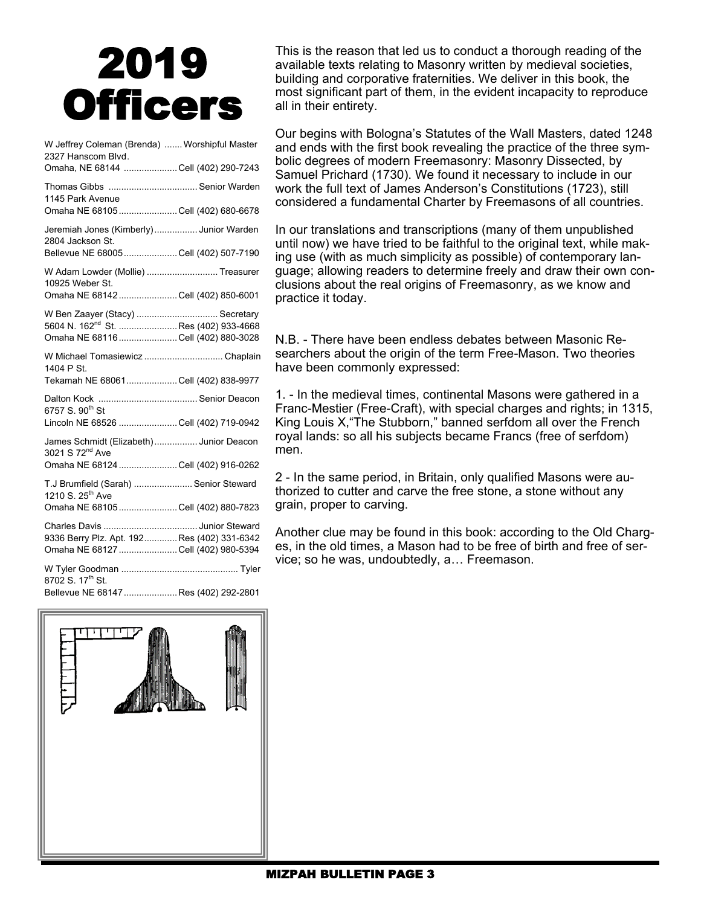## 2019 **Officers**

| W Jeffrey Coleman (Brenda)  Worshipful Master<br>2327 Hanscom Blvd.<br>Omaha, NE 68144 Cell (402) 290-7243                 |  |
|----------------------------------------------------------------------------------------------------------------------------|--|
| Thomas Gibbs  Senior Warden<br>1145 Park Avenue                                                                            |  |
| Omaha NE 68105 Cell (402) 680-6678                                                                                         |  |
| Jeremiah Jones (Kimberly) Junior Warden<br>2804 Jackson St.                                                                |  |
| Bellevue NE 68005  Cell (402) 507-7190                                                                                     |  |
| W Adam Lowder (Mollie)  Treasurer<br>10925 Weber St.<br>Omaha NE 68142  Cell (402) 850-6001                                |  |
|                                                                                                                            |  |
| W Ben Zaayer (Stacy)  Secretary<br>5604 N. 162 <sup>nd</sup> St. Res (402) 933-4668<br>Omaha NE 68116  Cell (402) 880-3028 |  |
| W Michael Tomasiewicz  Chaplain<br>1404 P St.                                                                              |  |
| Tekamah NE 68061 Cell (402) 838-9977                                                                                       |  |
| 6757 S. 90 <sup>th</sup> St                                                                                                |  |
| Lincoln NE 68526 Cell (402) 719-0942                                                                                       |  |
| James Schmidt (Elizabeth) Junior Deacon<br>3021 S 72 <sup>nd</sup> Ave                                                     |  |
| Omaha NE 68124 Cell (402) 916-0262                                                                                         |  |
| T.J Brumfield (Sarah)  Senior Steward<br>1210 S. 25 <sup>th</sup> Ave                                                      |  |
| Omaha NE 68105  Cell (402) 880-7823                                                                                        |  |
| 9336 Berry Plz. Apt. 192 Res (402) 331-6342<br>Omaha NE 68127  Cell (402) 980-5394                                         |  |
| 8702 S. 17 <sup>th</sup> St.                                                                                               |  |
| Bellevue NE 68147  Res (402) 292-2801                                                                                      |  |

This is the reason that led us to conduct a thorough reading of the available texts relating to Masonry written by medieval societies, building and corporative fraternities. We deliver in this book, the most significant part of them, in the evident incapacity to reproduce all in their entirety.

Our begins with Bologna's Statutes of the Wall Masters, dated 1248 and ends with the first book revealing the practice of the three symbolic degrees of modern Freemasonry: Masonry Dissected, by Samuel Prichard (1730). We found it necessary to include in our work the full text of James Anderson's Constitutions (1723), still considered a fundamental Charter by Freemasons of all countries.

In our translations and transcriptions (many of them unpublished until now) we have tried to be faithful to the original text, while making use (with as much simplicity as possible) of contemporary language; allowing readers to determine freely and draw their own conclusions about the real origins of Freemasonry, as we know and practice it today.

N.B. - There have been endless debates between Masonic Researchers about the origin of the term Free-Mason. Two theories have been commonly expressed:

1. - In the medieval times, continental Masons were gathered in a Franc-Mestier (Free-Craft), with special charges and rights; in 1315, King Louis X,"The Stubborn," banned serfdom all over the French royal lands: so all his subjects became Francs (free of serfdom) men.

2 - In the same period, in Britain, only qualified Masons were authorized to cutter and carve the free stone, a stone without any grain, proper to carving.

Another clue may be found in this book: according to the Old Charges, in the old times, a Mason had to be free of birth and free of service; so he was, undoubtedly, a… Freemason.